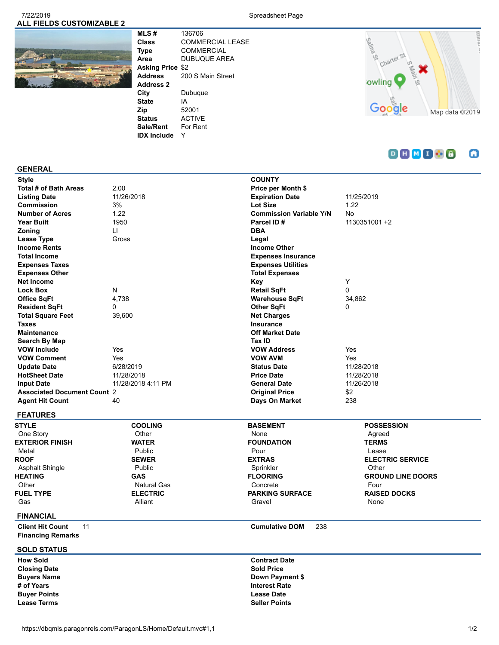### 7/22/2019 Spreadsheet Page **ALL FIELDS CUSTOMIZABLE 2**



**MLS #** 136706 **Class** COMMERCIAL LEASE **Type** COMMERCIAL **Area** DUBUQUE AREA **Asking Price** \$2 **Address** 200 S Main Street **Address 2 City** Dubuque **State** IA **Zip** 52001 **Status** ACTIVE **Sale/Rent** For Rent **IDX Include** Y



#### $D H M I B$ ۵

#### **GENERAL**

| <b>Number of Acres</b>             | 1.22               | <b>Commission Variable Y/N</b> | <b>No</b>         |
|------------------------------------|--------------------|--------------------------------|-------------------|
| <b>Year Built</b>                  | 1950               | Parcel ID#                     | 1130351001 +2     |
| Zoning                             | LI                 | <b>DBA</b>                     |                   |
| Lease Type                         | Gross              | Legal                          |                   |
| <b>Income Rents</b>                |                    | <b>Income Other</b>            |                   |
| <b>Total Income</b>                |                    | <b>Expenses Insurance</b>      |                   |
| <b>Expenses Taxes</b>              |                    | <b>Expenses Utilities</b>      |                   |
| <b>Expenses Other</b>              |                    | <b>Total Expenses</b>          |                   |
| <b>Net Income</b>                  |                    | Key                            | Y                 |
| <b>Lock Box</b>                    | N                  | <b>Retail SqFt</b>             | 0                 |
| <b>Office SqFt</b>                 | 4,738              | <b>Warehouse SqFt</b>          | 34,862            |
| <b>Resident SqFt</b>               | 0                  | <b>Other SqFt</b>              | 0                 |
| <b>Total Square Feet</b>           | 39,600             | <b>Net Charges</b>             |                   |
| <b>Taxes</b>                       |                    | Insurance                      |                   |
| <b>Maintenance</b>                 |                    | <b>Off Market Date</b>         |                   |
| Search By Map                      |                    | Tax ID                         |                   |
| <b>VOW Include</b>                 | Yes                | <b>VOW Address</b>             | Yes               |
| <b>VOW Comment</b>                 | Yes                | <b>VOW AVM</b>                 | Yes               |
| <b>Update Date</b>                 | 6/28/2019          | <b>Status Date</b>             | 11/28/2018        |
| <b>HotSheet Date</b>               | 11/28/2018         | <b>Price Date</b>              | 11/28/2018        |
| <b>Input Date</b>                  | 11/28/2018 4:11 PM | <b>General Date</b>            | 11/26/2018        |
| <b>Associated Document Count 2</b> |                    | <b>Original Price</b>          | \$2               |
| <b>Agent Hit Count</b>             | 40                 | Days On Market                 | 238               |
| <b>FEATURES</b>                    |                    |                                |                   |
| OTVL F                             | $0.001$ HIO        | <b>DACEMENT</b>                | <b>DOCCECCION</b> |

| 51 T LE                |
|------------------------|
| One Story              |
| <b>EXTERIOR FINISH</b> |
| Metal                  |
| <b>ROOF</b>            |
| <b>Asphalt Shingle</b> |
| <b>HEATING</b>         |
| Other                  |
| <b>FUEL TYPE</b>       |
| Gas                    |
|                        |

## **WATER** Public **SEWER** Public **GAS** Natural Gas **ELECTRIC** Alliant

**COOLING Other** 

## **BASEMENT** None **FOUNDATION** Pour **EXTRAS** Sprinkler **FLOORING** Concrete **PARKING SURFACE** Gravel

## **POSSESSION** Agreed **TERMS** Lease **ELECTRIC SERVICE Other GROUND LINE DOORS** Four **RAISED DOCKS** None

## **FINANCIAL**

**Client Hit Count** 11 **Cumulative DOM** 238 **Financing Remarks**

## **SOLD STATUS**

**Closing Date**<br>**Buyers Name Buyer Points Lease Date Lease Terms Seller Points**

**How Sold Contract Date Buyers Name Down Payment \$**<br>
# of Years **Interest Rate**